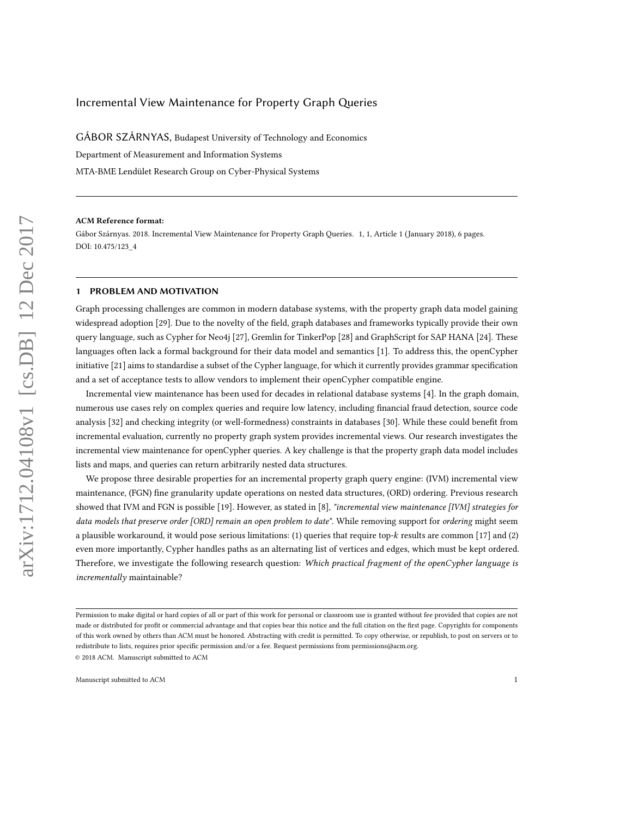# Incremental View Maintenance for Property Graph Queries

GÁBOR SZÁRNYAS, Budapest University of Technology and Economics Department of Measurement and Information Systems MTA-BME Lendület Research Group on Cyber-Physical Systems

#### ACM Reference format:

Gábor Szárnyas. 2018. Incremental View Maintenance for Property Graph Queries. 1, 1, Article 1 (January 2018), [6](#page-5-0) pages. DOI: 10.475/123\_4

#### <span id="page-0-0"></span>1 PROBLEM AND MOTIVATION

Graph processing challenges are common in modern database systems, with the property graph data model gaining widespread adoption [\[29\]](#page-4-0). Due to the novelty of the field, graph databases and frameworks typically provide their own query language, such as Cypher for Neo4j [\[27\]](#page-4-1), Gremlin for TinkerPop [\[28\]](#page-4-2) and GraphScript for SAP HANA [\[24\]](#page-4-3). These languages often lack a formal background for their data model and semantics [\[1\]](#page-4-4). To address this, the openCypher initiative [\[21\]](#page-4-5) aims to standardise a subset of the Cypher language, for which it currently provides grammar specification and a set of acceptance tests to allow vendors to implement their openCypher compatible engine.

Incremental view maintenance has been used for decades in relational database systems [\[4\]](#page-4-6). In the graph domain, numerous use cases rely on complex queries and require low latency, including financial fraud detection, source code analysis [\[32\]](#page-5-1) and checking integrity (or well-formedness) constraints in databases [\[30\]](#page-5-2). While these could benefit from incremental evaluation, currently no property graph system provides incremental views. Our research investigates the incremental view maintenance for openCypher queries. A key challenge is that the property graph data model includes lists and maps, and queries can return arbitrarily nested data structures.

We propose three desirable properties for an incremental property graph query engine: (IVM) incremental view maintenance, (FGN) fine granularity update operations on nested data structures, (ORD) ordering. Previous research showed that IVM and FGN is possible [\[19\]](#page-4-7). However, as stated in [\[8\]](#page-4-8), "incremental view maintenance [IVM] strategies for data models that preserve order [ORD] remain an open problem to date". While removing support for ordering might seem a plausible workaround, it would pose serious limitations: (1) queries that require top- $k$  results are common [\[17\]](#page-4-9) and (2) even more importantly, Cypher handles paths as an alternating list of vertices and edges, which must be kept ordered. Therefore, we investigate the following research question: Which practical fragment of the openCypher language is incrementally maintainable?

Permission to make digital or hard copies of all or part of this work for personal or classroom use is granted without fee provided that copies are not made or distributed for profit or commercial advantage and that copies bear this notice and the full citation on the first page. Copyrights for components of this work owned by others than ACM must be honored. Abstracting with credit is permitted. To copy otherwise, or republish, to post on servers or to redistribute to lists, requires prior specific permission and/or a fee. Request permissions from permissions@acm.org.

<sup>©</sup> 2018 ACM. Manuscript submitted to ACM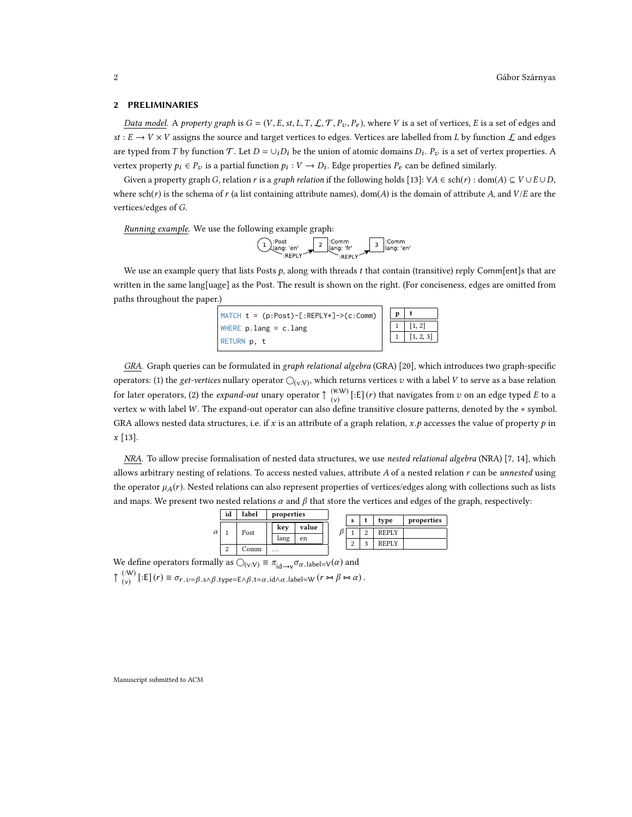#### <span id="page-1-0"></span>2 PRELIMINARIES

Data model. A property graph is  $G = (V, E, st, L, T, L, T, P_v, P_e)$ , where V is a set of vertices, E is a set of edges and st :  $E \to V \times V$  assigns the source and target vertices to edges. Vertices are labelled from L by function  $\mathcal L$  and edges are typed from T by function T. Let  $D = \bigcup_i D_i$  be the union of atomic domains  $D_i$ .  $P_v$  is a set of vertex properties. A vertex property  $p_i \in P_v$  is a partial function  $p_i : V \to D_i$ . Edge properties  $P_e$  can be defined similarly.

Given a property graph G, relation r is a graph relation if the following holds [\[13\]](#page-4-10):  $\forall A \in \text{sch}(r)$ : dom $(A) \subseteq V \cup E \cup D$ , where  $sch(r)$  is the schema of r (a list containing attribute names), dom(A) is the domain of attribute A, and  $V/E$  are the vertices/edges of G.

Running example. We use the following example graph:

$$
\begin{array}{c}\n\text{?Post} \\
\hline\n\text{lang: 'en'} \\
\text{.REPLY}\n\end{array}\n\qquad\n\begin{array}{c}\n\text{? Common} \\
\text{lang: 'fr'} \\
\text{.REPLY}\n\end{array}\n\qquad\n\begin{array}{c}\n\text{? Common} \\
\text{lang: 'en'} \\
\text{.REPLY}\n\end{array}
$$

We use an example query that lists Posts  $p$ , along with threads  $t$  that contain (transitive) reply Comm[ent]s that are written in the same lang[uage] as the Post. The result is shown on the right. (For conciseness, edges are omitted from paths throughout the paper.)



GRA. Graph queries can be formulated in graph relational algebra (GRA) [\[20\]](#page-4-11), which introduces two graph-specific operators: (1) the *get-vertices* nullary operator  $\bigcirc_{(v:V)}$ , which returns vertices v with a label V to serve as a base relation for later operators, (2) the *expand-out* unary operator  $\uparrow$  (with)  $\begin{bmatrix} (\mathbb{R}^1 \mathcal{W}) \\ (\mathbb{V}) \end{bmatrix}$  [:E] (*r*) that navigates from *v* on an edge typed *E* to a vertex w with label W. The expand-out operator can also define transitive closure patterns, denoted by the ∗ symbol. GRA allows nested data structures, i.e. if x is an attribute of a graph relation,  $x, p$  accesses the value of property p in x [\[13\]](#page-4-10).

NRA. To allow precise formalisation of nested data structures, we use nested relational algebra (NRA) [\[7,](#page-4-12) [14\]](#page-4-13), which allows arbitrary nesting of relations. To access nested values, attribute  $A$  of a nested relation  $r$  can be *unnested* using the operator  $\mu_A(r)$ . Nested relations can also represent properties of vertices/edges along with collections such as lists and maps. We present two nested relations  $\alpha$  and  $\beta$  that store the vertices and edges of the graph, respectively:



We define operators formally as  $\bigcirc_{(v:V)} \equiv \pi_{id \to v} \sigma_{\alpha}$ .label= $v(\alpha)$  and

 $\uparrow$  (:W) (:W) [:E]  $(r) \equiv \sigma_{r, v=\beta, s \land \beta, t}$  ype=E∧ $\beta, t = \alpha, id \land \alpha,$  label=W  $(r \Join \beta \Join \alpha)$ .

Manuscript submitted to ACM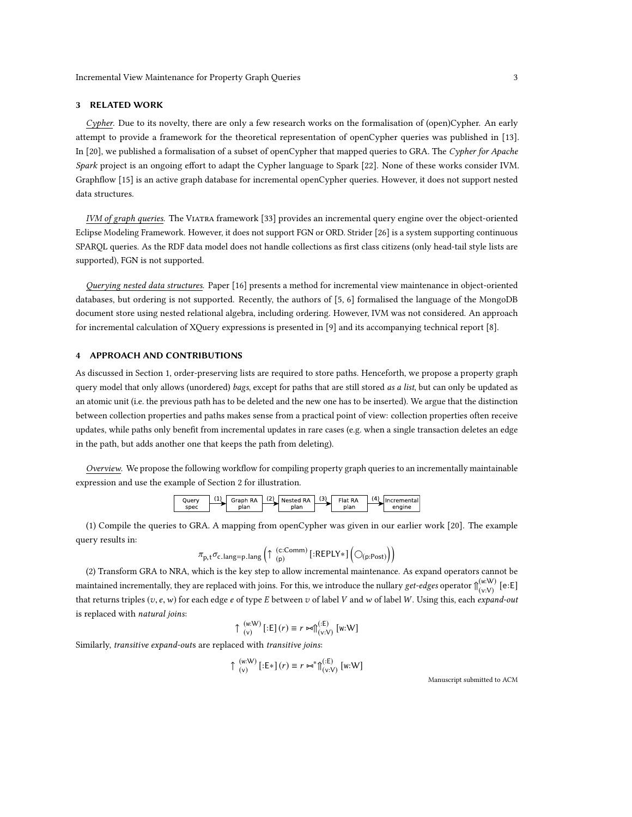## 3 RELATED WORK

Cypher. Due to its novelty, there are only a few research works on the formalisation of (open)Cypher. An early attempt to provide a framework for the theoretical representation of openCypher queries was published in [\[13\]](#page-4-10). In [\[20\]](#page-4-11), we published a formalisation of a subset of openCypher that mapped queries to GRA. The Cypher for Apache Spark project is an ongoing effort to adapt the Cypher language to Spark [\[22\]](#page-4-14). None of these works consider IVM. Graphflow [\[15\]](#page-4-15) is an active graph database for incremental openCypher queries. However, it does not support nested data structures.

IVM of graph queries. The Viatra framework [\[33\]](#page-5-3) provides an incremental query engine over the object-oriented Eclipse Modeling Framework. However, it does not support FGN or ORD. Strider [\[26\]](#page-4-16) is a system supporting continuous SPAROL queries. As the RDF data model does not handle collections as first class citizens (only head-tail style lists are supported), FGN is not supported.

Querying nested data structures. Paper [\[16\]](#page-4-17) presents a method for incremental view maintenance in object-oriented databases, but ordering is not supported. Recently, the authors of [\[5,](#page-4-18) [6\]](#page-4-19) formalised the language of the MongoDB document store using nested relational algebra, including ordering. However, IVM was not considered. An approach for incremental calculation of XQuery expressions is presented in [\[9\]](#page-4-20) and its accompanying technical report [\[8\]](#page-4-8).

### 4 APPROACH AND CONTRIBUTIONS

As discussed in [Section 1,](#page-0-0) order-preserving lists are required to store paths. Henceforth, we propose a property graph query model that only allows (unordered) bags, except for paths that are still stored as a list, but can only be updated as an atomic unit (i.e. the previous path has to be deleted and the new one has to be inserted). We argue that the distinction between collection properties and paths makes sense from a practical point of view: collection properties often receive updates, while paths only benefit from incremental updates in rare cases (e.g. when a single transaction deletes an edge in the path, but adds another one that keeps the path from deleting).

Overview. We propose the following workflow for compiling property graph queries to an incrementally maintainable expression and use the example of [Section 2](#page-1-0) for illustration.



(1) Compile the queries to GRA. A mapping from openCypher was given in our earlier work [\[20\]](#page-4-11). The example query results in:

<sup>σ</sup>c.lang=p.lang ↑ (c:Comm) (p) [:REPLY∗] (p:Post) 

(2) Transform GRA to NRA, which is the key step to allow incremental maintenance. As expand operators cannot be maintained incrementally, they are replaced with joins. For this, we introduce the nullary get-edges operator  $\int_{(\infty)}^{(w \cdot W)}$  $\begin{array}{c} \scriptscriptstyle{\mathrm{(w:W)}} \scriptscriptstyle{\mathrm{(e:E)}} \ \scriptscriptstyle{\mathrm{(v:V)}} \end{array}$ that returns triples  $(v, e, w)$  for each edge e of type E between v of label V and w of label W. Using this, each expand-out is replaced with natural joins:

$$
\uparrow \begin{pmatrix} w \cdot W \\ (v) \end{pmatrix} [\mathbf{:E}](r) \equiv r \bowtie \Uparrow_{(v:V)}^{(\mathbf{:E})} [w \cdot W]
$$

Similarly, transitive expand-outs are replaced with transitive joins:

 $\pi$ 

 $\uparrow$  (w:W)  $\begin{aligned} &\left(\mathsf{w};\mathsf{W}\right)\left[\left(\mathsf{E}*\right]\left(r\right)\equiv r\Join^{*}\!\!\bigcap_{\mathsf{(v)}}^{(\mathsf{E})}\n \end{aligned}$ (v:V) [w:W]

Manuscript submitted to ACM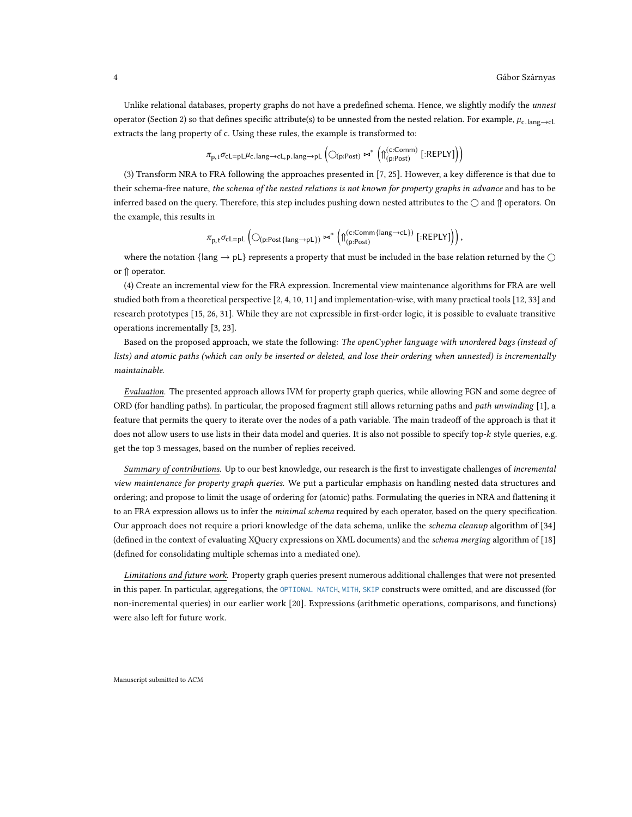Unlike relational databases, property graphs do not have a predefined schema. Hence, we slightly modify the unnest operator [\(Section 2\)](#page-1-0) so that defines specific attribute(s) to be unnested from the nested relation. For example,  $\mu_{c.\text{lang}\rightarrow cL}$ extracts the lang property of c. Using these rules, the example is transformed to:

$$
\pi_{p,t} \sigma_{\text{cl}=pL} \mu_{\text{c.lang}\rightarrow\text{cl},p.lang\rightarrow pL} \left( \bigcirc_{(p:Post)} \Join^* \left( \bigcap_{(p:Post)}^{(c:Comm)} \left[ :REPLY \right] \right) \right)
$$

(3) Transform NRA to FRA following the approaches presented in  $[7, 25]$  $[7, 25]$  $[7, 25]$ . However, a key difference is that due to their schema-free nature, the schema of the nested relations is not known for property graphs in advance and has to be inferred based on the query. Therefore, this step includes pushing down nested attributes to the  $\bigcirc$  and  $\mathfrak{g}$  operators. On the example, this results in

$$
\pi_{p,t} \sigma_{c \texttt{L} = p\texttt{L}} \left( \bigcirc_{(p:Post\{\texttt{lang} \rightarrow p\texttt{L}\})} \Join^{*} \left( \texttt{\textcolor{red}{\texttt{||}}\{\texttt{c:Comm}\} }^{(c:Comm\{\texttt{lang} \rightarrow c\texttt{L}\})} \ [\texttt{:REPLY}] \right) \right),
$$

where the notation {lang  $\rightarrow$  pL} represents a property that must be included in the base relation returned by the  $\cap$ or ↑ operator.

(4) Create an incremental view for the FRA expression. Incremental view maintenance algorithms for FRA are well studied both from a theoretical perspective [\[2,](#page-4-22) [4,](#page-4-6) [10,](#page-4-23) [11\]](#page-4-24) and implementation-wise, with many practical tools [\[12,](#page-4-25) [33\]](#page-5-3) and research prototypes [\[15,](#page-4-15) [26,](#page-4-16) [31\]](#page-5-4). While they are not expressible in first-order logic, it is possible to evaluate transitive operations incrementally [\[3,](#page-4-26) [23\]](#page-4-27).

Based on the proposed approach, we state the following: The openCypher language with unordered bags (instead of lists) and atomic paths (which can only be inserted or deleted, and lose their ordering when unnested) is incrementally maintainable.

Evaluation. The presented approach allows IVM for property graph queries, while allowing FGN and some degree of ORD (for handling paths). In particular, the proposed fragment still allows returning paths and path unwinding [\[1\]](#page-4-4), a feature that permits the query to iterate over the nodes of a path variable. The main tradeoff of the approach is that it does not allow users to use lists in their data model and queries. It is also not possible to specify top-k style queries, e.g. get the top 3 messages, based on the number of replies received.

Summary of contributions. Up to our best knowledge, our research is the first to investigate challenges of incremental view maintenance for property graph queries. We put a particular emphasis on handling nested data structures and ordering; and propose to limit the usage of ordering for (atomic) paths. Formulating the queries in NRA and flattening it to an FRA expression allows us to infer the minimal schema required by each operator, based on the query specification. Our approach does not require a priori knowledge of the data schema, unlike the schema cleanup algorithm of [\[34\]](#page-5-5) (defined in the context of evaluating XQuery expressions on XML documents) and the schema merging algorithm of [\[18\]](#page-4-28) (defined for consolidating multiple schemas into a mediated one).

Limitations and future work. Property graph queries present numerous additional challenges that were not presented in this paper. In particular, aggregations, the OPTIONAL MATCH, WITH, SKIP constructs were omitted, and are discussed (for non-incremental queries) in our earlier work [\[20\]](#page-4-11). Expressions (arithmetic operations, comparisons, and functions) were also left for future work.

Manuscript submitted to ACM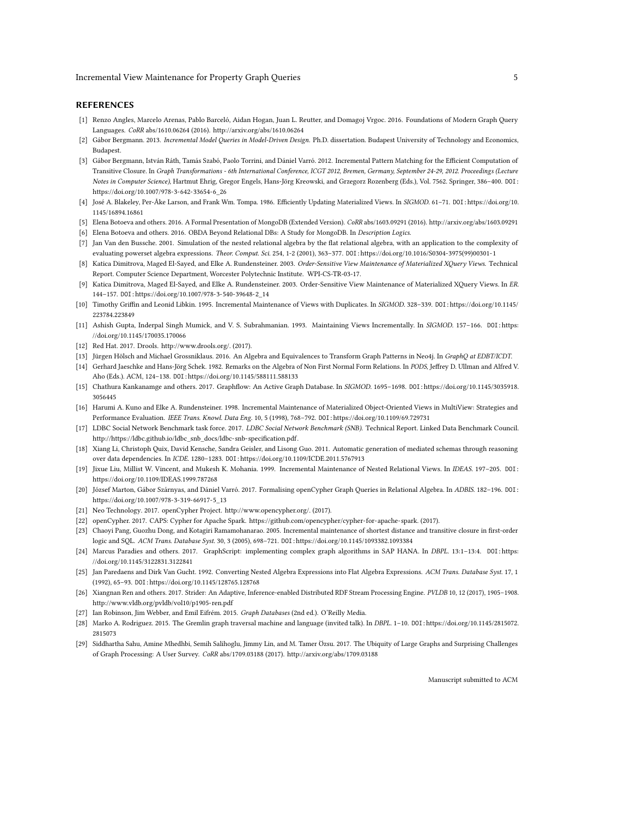#### REFERENCES

- <span id="page-4-4"></span>[1] Renzo Angles, Marcelo Arenas, Pablo Barceló, Aidan Hogan, Juan L. Reutter, and Domagoj Vrgoc. 2016. Foundations of Modern Graph Query Languages. CoRR abs/1610.06264 (2016).<http://arxiv.org/abs/1610.06264>
- <span id="page-4-22"></span>[2] Gábor Bergmann. 2013. Incremental Model Queries in Model-Driven Design. Ph.D. dissertation. Budapest University of Technology and Economics, Budapest.
- <span id="page-4-26"></span>[3] Gábor Bergmann, István Ráth, Tamás Szabó, Paolo Torrini, and Dániel Varró. 2012. Incremental Pattern Matching for the Efficient Computation of Transitive Closure. In Graph Transformations - 6th International Conference, ICGT 2012, Bremen, Germany, September 24-29, 2012. Proceedings (Lecture Notes in Computer Science), Hartmut Ehrig, Gregor Engels, Hans-Jörg Kreowski, and Grzegorz Rozenberg (Eds.), Vol. 7562. Springer, 386–400. DOI: [https://doi.org/10.1007/978-3-642-33654-6\\_26](https://doi.org/10.1007/978-3-642-33654-6_26)
- <span id="page-4-6"></span>[4] José A. Blakeley, Per-Åke Larson, and Frank Wm. Tompa. 1986. Efficiently Updating Materialized Views. In SIGMOD. 61-71. DOI: [https://doi.org/10.](https://doi.org/10.1145/16894.16861) [1145/16894.16861](https://doi.org/10.1145/16894.16861)
- <span id="page-4-18"></span>[5] Elena Botoeva and others. 2016. A Formal Presentation of MongoDB (Extended Version). CoRR abs/1603.09291 (2016).<http://arxiv.org/abs/1603.09291>
- <span id="page-4-19"></span>[6] Elena Botoeva and others. 2016. OBDA Beyond Relational DBs: A Study for MongoDB. In Description Logics.
- <span id="page-4-12"></span>[7] Jan Van den Bussche. 2001. Simulation of the nested relational algebra by the at relational algebra, with an application to the complexity of evaluating powerset algebra expressions. Theor. Comput. Sci. 254, 1-2 (2001), 363–377. DOI:[https://doi.org/10.1016/S0304-3975\(99\)00301-1](https://doi.org/10.1016/S0304-3975(99)00301-1)
- <span id="page-4-8"></span>[8] Katica Dimitrova, Maged El-Sayed, and Elke A. Rundensteiner. 2003. Order-Sensitive View Maintenance of Materialized XOuery Views. Technical Report. Computer Science Department, Worcester Polytechnic Institute. WPI-CS-TR-03-17.
- <span id="page-4-20"></span>[9] Katica Dimitrova, Maged El-Sayed, and Elke A. Rundensteiner. 2003. Order-Sensitive View Maintenance of Materialized XQuery Views. In ER. 144–157. DOI:[https://doi.org/10.1007/978-3-540-39648-2\\_14](https://doi.org/10.1007/978-3-540-39648-2_14)
- <span id="page-4-23"></span>[10] Timothy Griffin and Leonid Libkin. 1995. Incremental Maintenance of Views with Duplicates. In SIGMOD. 328-339. DOI:[https://doi.org/10.1145/](https://doi.org/10.1145/223784.223849) [223784.223849](https://doi.org/10.1145/223784.223849)
- <span id="page-4-24"></span>[11] Ashish Gupta, Inderpal Singh Mumick, and V. S. Subrahmanian. 1993. Maintaining Views Incrementally. In SIGMOD. 157–166. DOI:[https:](https://doi.org/10.1145/170035.170066) [//doi.org/10.1145/170035.170066](https://doi.org/10.1145/170035.170066)
- <span id="page-4-25"></span>[12] Red Hat. 2017. Drools. [http://www.drools.org/.](http://www.drools.org/) (2017).
- <span id="page-4-10"></span>[13] Jürgen Hölsch and Michael Grossniklaus. 2016. An Algebra and Equivalences to Transform Graph Patterns in Neo4j. In GraphQ at EDBT/ICDT.
- <span id="page-4-13"></span>[14] Gerhard Jaeschke and Hans-Jörg Schek. 1982. Remarks on the Algebra of Non First Normal Form Relations. In PODS, Jeffrey D. Ullman and Alfred V. Aho (Eds.). ACM, 124–138. DOI:<https://doi.org/10.1145/588111.588133>
- <span id="page-4-15"></span>[15] Chathura Kankanamge and others. 2017. Graphflow: An Active Graph Database. In SIGMOD. 1695-1698. DOI:[https://doi.org/10.1145/3035918.](https://doi.org/10.1145/3035918.3056445) [3056445](https://doi.org/10.1145/3035918.3056445)
- <span id="page-4-17"></span>[16] Harumi A. Kuno and Elke A. Rundensteiner. 1998. Incremental Maintenance of Materialized Object-Oriented Views in MultiView: Strategies and Performance Evaluation. IEEE Trans. Knowl. Data Eng. 10, 5 (1998), 768–792. DOI:<https://doi.org/10.1109/69.729731>
- <span id="page-4-9"></span>[17] LDBC Social Network Benchmark task force. 2017. LDBC Social Network Benchmark (SNB). Technical Report. Linked Data Benchmark Council. http://https://ldbc.github.io/ldbc\_snb\_docs/ldbc-snb-specification.pdf.
- <span id="page-4-28"></span>[18] Xiang Li, Christoph Quix, David Kensche, Sandra Geisler, and Lisong Guo. 2011. Automatic generation of mediated schemas through reasoning over data dependencies. In ICDE. 1280–1283. DOI:<https://doi.org/10.1109/ICDE.2011.5767913>
- <span id="page-4-7"></span>[19] Jixue Liu, Millist W. Vincent, and Mukesh K. Mohania. 1999. Incremental Maintenance of Nested Relational Views. In IDEAS. 197–205. DOI: <https://doi.org/10.1109/IDEAS.1999.787268>
- <span id="page-4-11"></span>[20] József Marton, Gábor Szárnyas, and Dániel Varró. 2017. Formalising openCypher Graph Queries in Relational Algebra. In ADBIS. 182–196. DOI: [https://doi.org/10.1007/978-3-319-66917-5\\_13](https://doi.org/10.1007/978-3-319-66917-5_13)
- <span id="page-4-5"></span>[21] Neo Technology. 2017. openCypher Project. [http://www.opencypher.org/.](http://www.opencypher.org/) (2017).
- <span id="page-4-14"></span>[22] openCypher. 2017. CAPS: Cypher for Apache Spark. [https://github.com/opencypher/cypher-for-apache-spark.](https://github.com/opencypher/cypher-for-apache-spark) (2017).
- <span id="page-4-27"></span>[23] Chaoyi Pang, Guozhu Dong, and Kotagiri Ramamohanarao. 2005. Incremental maintenance of shortest distance and transitive closure in first-order logic and SQL. ACM Trans. Database Syst. 30, 3 (2005), 698–721. DOI:<https://doi.org/10.1145/1093382.1093384>
- <span id="page-4-3"></span>[24] Marcus Paradies and others. 2017. GraphScript: implementing complex graph algorithms in SAP HANA. In DBPL. 13:1–13:4. DOI:[https:](https://doi.org/10.1145/3122831.3122841) [//doi.org/10.1145/3122831.3122841](https://doi.org/10.1145/3122831.3122841)
- <span id="page-4-21"></span>[25] Jan Paredaens and Dirk Van Gucht. 1992. Converting Nested Algebra Expressions into Flat Algebra Expressions. ACM Trans. Database Syst. 17, 1 (1992), 65–93. DOI:<https://doi.org/10.1145/128765.128768>
- <span id="page-4-16"></span>[26] Xiangnan Ren and others. 2017. Strider: An Adaptive, Inference-enabled Distributed RDF Stream Processing Engine. PVLDB 10, 12 (2017), 1905–1908. <http://www.vldb.org/pvldb/vol10/p1905-ren.pdf>
- <span id="page-4-1"></span>[27] Ian Robinson, Jim Webber, and Emil Eifrém. 2015. Graph Databases (2nd ed.). O'Reilly Media.
- <span id="page-4-2"></span>[28] Marko A. Rodriguez. 2015. The Gremlin graph traversal machine and language (invited talk). In DBPL. 1–10. DOI:[https://doi.org/10.1145/2815072.](https://doi.org/10.1145/2815072.2815073) [2815073](https://doi.org/10.1145/2815072.2815073)
- <span id="page-4-0"></span>[29] Siddhartha Sahu, Amine Mhedhbi, Semih Salihoglu, Jimmy Lin, and M. Tamer Özsu. 2017. The Ubiquity of Large Graphs and Surprising Challenges of Graph Processing: A User Survey. CoRR abs/1709.03188 (2017).<http://arxiv.org/abs/1709.03188>